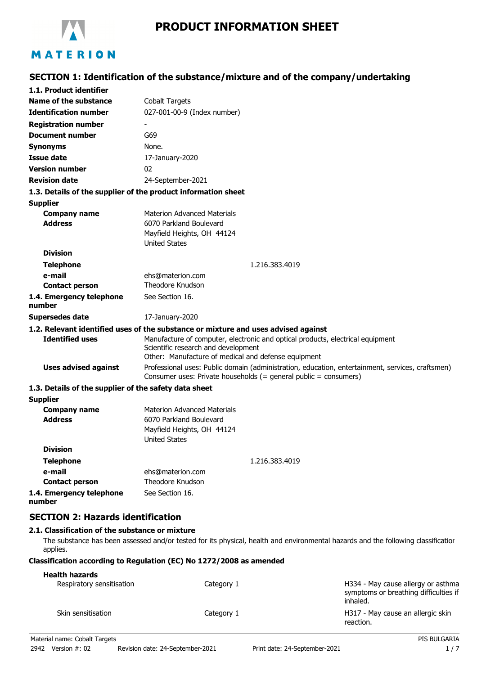

# **PRODUCT INFORMATION SHEET**

# **SECTION 1: Identification of the substance/mixture and of the company/undertaking**

| 1.1. Product identifier                               |                                                                                                                                                                              |  |
|-------------------------------------------------------|------------------------------------------------------------------------------------------------------------------------------------------------------------------------------|--|
| Name of the substance                                 | Cobalt Targets                                                                                                                                                               |  |
| <b>Identification number</b>                          | 027-001-00-9 (Index number)                                                                                                                                                  |  |
| <b>Registration number</b>                            |                                                                                                                                                                              |  |
| <b>Document number</b>                                | G69                                                                                                                                                                          |  |
| <b>Synonyms</b>                                       | None.                                                                                                                                                                        |  |
| <b>Issue date</b>                                     | 17-January-2020                                                                                                                                                              |  |
| <b>Version number</b>                                 | 02                                                                                                                                                                           |  |
| <b>Revision date</b>                                  | 24-September-2021                                                                                                                                                            |  |
|                                                       | 1.3. Details of the supplier of the product information sheet                                                                                                                |  |
| <b>Supplier</b>                                       |                                                                                                                                                                              |  |
| <b>Company name</b>                                   | <b>Materion Advanced Materials</b>                                                                                                                                           |  |
| <b>Address</b>                                        | 6070 Parkland Boulevard                                                                                                                                                      |  |
|                                                       | Mayfield Heights, OH 44124                                                                                                                                                   |  |
|                                                       | <b>United States</b>                                                                                                                                                         |  |
| <b>Division</b>                                       |                                                                                                                                                                              |  |
| <b>Telephone</b>                                      | 1.216.383.4019                                                                                                                                                               |  |
| e-mail<br><b>Contact person</b>                       | ehs@materion.com<br>Theodore Knudson                                                                                                                                         |  |
| 1.4. Emergency telephone                              | See Section 16.                                                                                                                                                              |  |
| number                                                |                                                                                                                                                                              |  |
| <b>Supersedes date</b>                                | 17-January-2020                                                                                                                                                              |  |
|                                                       | 1.2. Relevant identified uses of the substance or mixture and uses advised against                                                                                           |  |
| <b>Identified uses</b>                                | Manufacture of computer, electronic and optical products, electrical equipment<br>Scientific research and development<br>Other: Manufacture of medical and defense equipment |  |
| <b>Uses advised against</b>                           | Professional uses: Public domain (administration, education, entertainment, services, craftsmen)<br>Consumer uses: Private households (= general public = consumers)         |  |
| 1.3. Details of the supplier of the safety data sheet |                                                                                                                                                                              |  |
| <b>Supplier</b>                                       |                                                                                                                                                                              |  |
| <b>Company name</b>                                   | <b>Materion Advanced Materials</b>                                                                                                                                           |  |
| <b>Address</b>                                        | 6070 Parkland Boulevard                                                                                                                                                      |  |
|                                                       | Mayfield Heights, OH 44124                                                                                                                                                   |  |
| <b>Division</b>                                       | <b>United States</b>                                                                                                                                                         |  |
|                                                       |                                                                                                                                                                              |  |
| <b>Telephone</b>                                      | 1.216.383.4019                                                                                                                                                               |  |
| e-mail<br><b>Contact person</b>                       | ehs@materion.com<br>Theodore Knudson                                                                                                                                         |  |
| 1.4. Emergency telephone                              | See Section 16.                                                                                                                                                              |  |
|                                                       |                                                                                                                                                                              |  |

# **number**

# **SECTION 2: Hazards identification**

### **2.1. Classification of the substance or mixture**

The substance has been assessed and/or tested for its physical, health and environmental hazards and the following classification applies.

### **Classification according to Regulation (EC) No 1272/2008 as amended**

## **Health hazards**

| Respiratory sensitisation | Category 1 | H334 - May cause allergy or asthma<br>symptoms or breathing difficulties if<br>inhaled. |
|---------------------------|------------|-----------------------------------------------------------------------------------------|
| Skin sensitisation        | Category 1 | H317 - May cause an allergic skin<br>reaction.                                          |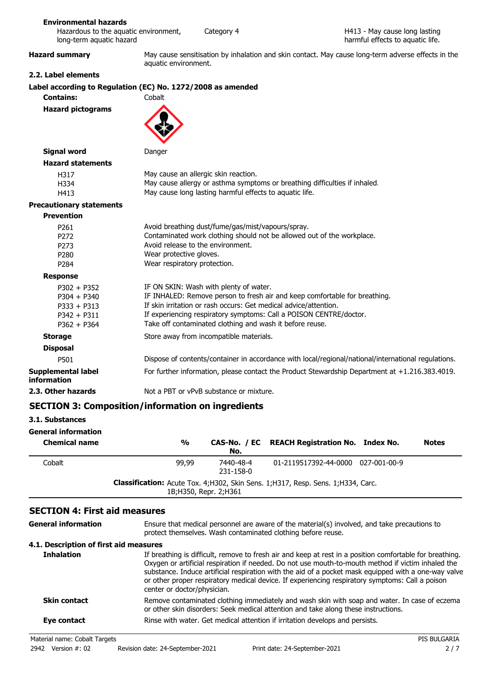#### **Environmental hazards**

| Hazardous to the aguatic environment, | Ca |
|---------------------------------------|----|
| long-term aquatic hazard              |    |

tegory 4

**Hazard summary** May cause sensitisation by inhalation and skin contact. May cause long-term adverse effects in the aquatic environment.

#### **2.2. Label elements**

# **Label according to Regulation (EC) No. 1272/2008 as amended**

|                                                                                   | Label according to Regulation (EC) No. 1272/2008 as amended                                                                                                                                                                                                                                                                |
|-----------------------------------------------------------------------------------|----------------------------------------------------------------------------------------------------------------------------------------------------------------------------------------------------------------------------------------------------------------------------------------------------------------------------|
| <b>Contains:</b>                                                                  | Cobalt                                                                                                                                                                                                                                                                                                                     |
| <b>Hazard pictograms</b>                                                          |                                                                                                                                                                                                                                                                                                                            |
| <b>Signal word</b>                                                                | Danger                                                                                                                                                                                                                                                                                                                     |
| <b>Hazard statements</b>                                                          |                                                                                                                                                                                                                                                                                                                            |
| H317<br>H334<br>H413                                                              | May cause an allergic skin reaction.<br>May cause allergy or asthma symptoms or breathing difficulties if inhaled.<br>May cause long lasting harmful effects to aquatic life.                                                                                                                                              |
| <b>Precautionary statements</b>                                                   |                                                                                                                                                                                                                                                                                                                            |
| <b>Prevention</b>                                                                 |                                                                                                                                                                                                                                                                                                                            |
| P <sub>261</sub><br>P <sub>272</sub><br>P273<br>P <sub>280</sub><br>P284          | Avoid breathing dust/fume/gas/mist/vapours/spray.<br>Contaminated work clothing should not be allowed out of the workplace.<br>Avoid release to the environment.<br>Wear protective gloves.<br>Wear respiratory protection.                                                                                                |
| <b>Response</b>                                                                   |                                                                                                                                                                                                                                                                                                                            |
| $P302 + P352$<br>$P304 + P340$<br>$P333 + P313$<br>$P342 + P311$<br>$P362 + P364$ | IF ON SKIN: Wash with plenty of water.<br>IF INHALED: Remove person to fresh air and keep comfortable for breathing.<br>If skin irritation or rash occurs: Get medical advice/attention.<br>If experiencing respiratory symptoms: Call a POISON CENTRE/doctor.<br>Take off contaminated clothing and wash it before reuse. |
| <b>Storage</b>                                                                    | Store away from incompatible materials.                                                                                                                                                                                                                                                                                    |
| <b>Disposal</b>                                                                   |                                                                                                                                                                                                                                                                                                                            |
| P501                                                                              | Dispose of contents/container in accordance with local/regional/national/international regulations.                                                                                                                                                                                                                        |
| <b>Supplemental label</b><br>information                                          | For further information, please contact the Product Stewardship Department at +1.216.383.4019.                                                                                                                                                                                                                             |
| 2.3. Other hazards                                                                | Not a PBT or vPvB substance or mixture.                                                                                                                                                                                                                                                                                    |

## **SECTION 3: Composition/information on ingredients**

#### **3.1. Substances**

| <b>General information</b><br><b>Chemical name</b>                                                         | %     | No.                    | CAS-No. / EC REACH Registration No. Index No. | <b>Notes</b> |
|------------------------------------------------------------------------------------------------------------|-------|------------------------|-----------------------------------------------|--------------|
| Cobalt                                                                                                     | 99,99 | 7440-48-4<br>231-158-0 | 01-2119517392-44-0000 027-001-00-9            |              |
| Classification: Acute Tox. 4;H302, Skin Sens. 1;H317, Resp. Sens. 1;H334, Carc.<br>1B; H350, Repr. 2; H361 |       |                        |                                               |              |

## **SECTION 4: First aid measures**

| <b>General information</b>             | Ensure that medical personnel are aware of the material(s) involved, and take precautions to<br>protect themselves. Wash contaminated clothing before reuse.                                                                                                                                                                                                                                                                                             |
|----------------------------------------|----------------------------------------------------------------------------------------------------------------------------------------------------------------------------------------------------------------------------------------------------------------------------------------------------------------------------------------------------------------------------------------------------------------------------------------------------------|
| 4.1. Description of first aid measures |                                                                                                                                                                                                                                                                                                                                                                                                                                                          |
| <b>Inhalation</b>                      | If breathing is difficult, remove to fresh air and keep at rest in a position comfortable for breathing.<br>Oxygen or artificial respiration if needed. Do not use mouth-to-mouth method if victim inhaled the<br>substance. Induce artificial respiration with the aid of a pocket mask equipped with a one-way valve<br>or other proper respiratory medical device. If experiencing respiratory symptoms: Call a poison<br>center or doctor/physician. |
| <b>Skin contact</b>                    | Remove contaminated clothing immediately and wash skin with soap and water. In case of eczema<br>or other skin disorders: Seek medical attention and take along these instructions.                                                                                                                                                                                                                                                                      |
| Eye contact                            | Rinse with water. Get medical attention if irritation develops and persists.                                                                                                                                                                                                                                                                                                                                                                             |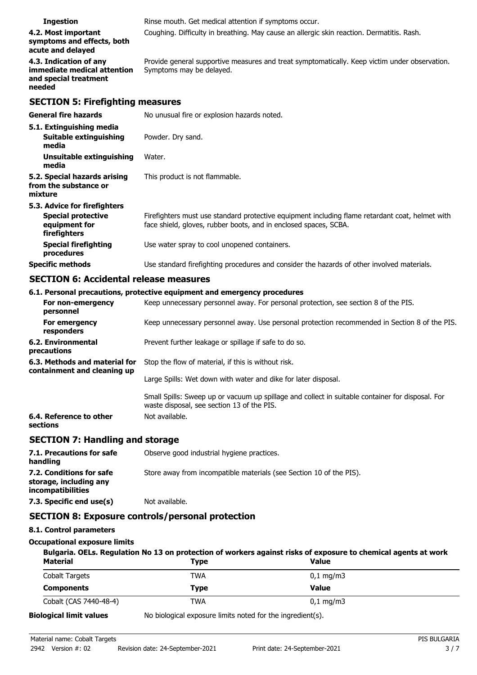| <b>Ingestion</b>                                                                         | Rinse mouth. Get medical attention if symptoms occur.                                                                                                               |  |
|------------------------------------------------------------------------------------------|---------------------------------------------------------------------------------------------------------------------------------------------------------------------|--|
| 4.2. Most important<br>symptoms and effects, both<br>acute and delaved                   | Coughing. Difficulty in breathing. May cause an allergic skin reaction. Dermatitis. Rash.                                                                           |  |
| 4.3. Indication of any<br>immediate medical attention<br>and special treatment<br>needed | Provide general supportive measures and treat symptomatically. Keep victim under observation.<br>Symptoms may be delayed.                                           |  |
| <b>SECTION 5: Firefighting measures</b>                                                  |                                                                                                                                                                     |  |
| <b>General fire hazards</b>                                                              | No unusual fire or explosion hazards noted.                                                                                                                         |  |
| 5.1. Extinguishing media<br><b>Suitable extinguishing</b><br>media                       | Powder. Dry sand.                                                                                                                                                   |  |
| Unsuitable extinguishing<br>media                                                        | Water.                                                                                                                                                              |  |
| 5.2. Special hazards arising<br>from the substance or<br>mixture                         | This product is not flammable.                                                                                                                                      |  |
| 5.3. Advice for firefighters                                                             |                                                                                                                                                                     |  |
| <b>Special protective</b><br>equipment for<br>firefighters                               | Firefighters must use standard protective equipment including flame retardant coat, helmet with<br>face shield, gloves, rubber boots, and in enclosed spaces, SCBA. |  |
| <b>Special firefighting</b><br>procedures                                                | Use water spray to cool unopened containers.                                                                                                                        |  |
| <b>Specific methods</b>                                                                  | Use standard firefighting procedures and consider the hazards of other involved materials.                                                                          |  |

# **SECTION 6: Accidental release measures**

|                                                              | 6.1. Personal precautions, protective equipment and emergency procedures                                                                       |
|--------------------------------------------------------------|------------------------------------------------------------------------------------------------------------------------------------------------|
| For non-emergency<br>personnel                               | Keep unnecessary personnel away. For personal protection, see section 8 of the PIS.                                                            |
| For emergency<br>responders                                  | Keep unnecessary personnel away. Use personal protection recommended in Section 8 of the PIS.                                                  |
| 6.2. Environmental<br>precautions                            | Prevent further leakage or spillage if safe to do so.                                                                                          |
| 6.3. Methods and material for<br>containment and cleaning up | Stop the flow of material, if this is without risk.                                                                                            |
|                                                              | Large Spills: Wet down with water and dike for later disposal.                                                                                 |
|                                                              | Small Spills: Sweep up or vacuum up spillage and collect in suitable container for disposal. For<br>waste disposal, see section 13 of the PIS. |
| 6.4. Reference to other<br>sections                          | Not available.                                                                                                                                 |
| <b>SECTION 7: Handling and storage</b>                       |                                                                                                                                                |

### **SECTION 7: Handling and storage**

| 7.1. Precautions for safe<br>handling                                          | Observe good industrial hygiene practices.                          |
|--------------------------------------------------------------------------------|---------------------------------------------------------------------|
| 7.2. Conditions for safe<br>storage, including any<br><i>incompatibilities</i> | Store away from incompatible materials (see Section 10 of the PIS). |
| 7.3. Specific end use(s)                                                       | Not available.                                                      |

## **SECTION 8: Exposure controls/personal protection**

## **8.1. Control parameters**

#### **Occupational exposure limits**

| Bulgaria. OELs. Regulation No 13 on protection of workers against risks of exposure to chemical agents at work |             |                       |  |
|----------------------------------------------------------------------------------------------------------------|-------------|-----------------------|--|
| <b>Material</b>                                                                                                | <b>Type</b> | <b>Value</b>          |  |
| <b>Cobalt Targets</b>                                                                                          | TWA         | $0.1 \,\mathrm{mq/m}$ |  |
| <b>Components</b>                                                                                              | <b>Type</b> | <b>Value</b>          |  |
| Cobalt (CAS 7440-48-4)                                                                                         | TWA         | $0.1 \,\mathrm{mq/m}$ |  |

**Biological limit values** No biological exposure limits noted for the ingredient(s).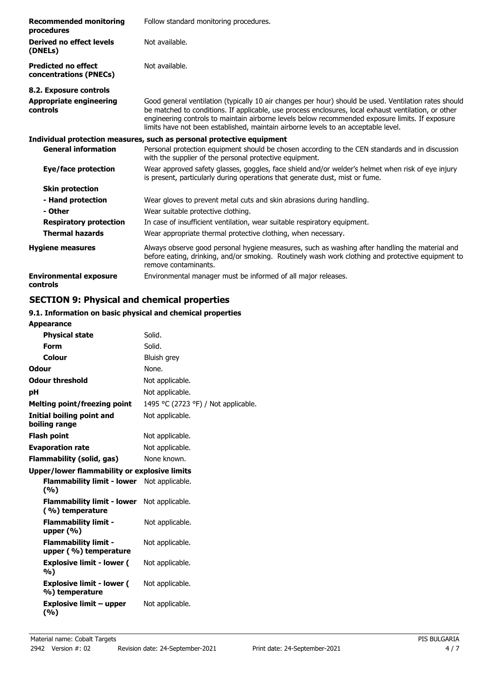| <b>Recommended monitoring</b><br>procedures                           | Follow standard monitoring procedures.                                                                                                                                                                                                                                                                                                                                                                 |  |  |
|-----------------------------------------------------------------------|--------------------------------------------------------------------------------------------------------------------------------------------------------------------------------------------------------------------------------------------------------------------------------------------------------------------------------------------------------------------------------------------------------|--|--|
| Derived no effect levels<br>(DNELs)                                   | Not available.                                                                                                                                                                                                                                                                                                                                                                                         |  |  |
| <b>Predicted no effect</b><br>concentrations (PNECs)                  | Not available.                                                                                                                                                                                                                                                                                                                                                                                         |  |  |
| 8.2. Exposure controls                                                |                                                                                                                                                                                                                                                                                                                                                                                                        |  |  |
| <b>Appropriate engineering</b><br>controls                            | Good general ventilation (typically 10 air changes per hour) should be used. Ventilation rates should<br>be matched to conditions. If applicable, use process enclosures, local exhaust ventilation, or other<br>engineering controls to maintain airborne levels below recommended exposure limits. If exposure<br>limits have not been established, maintain airborne levels to an acceptable level. |  |  |
| Individual protection measures, such as personal protective equipment |                                                                                                                                                                                                                                                                                                                                                                                                        |  |  |
| <b>General information</b>                                            | Personal protection equipment should be chosen according to the CEN standards and in discussion<br>with the supplier of the personal protective equipment.                                                                                                                                                                                                                                             |  |  |
| Eye/face protection                                                   | Wear approved safety glasses, goggles, face shield and/or welder's helmet when risk of eye injury<br>is present, particularly during operations that generate dust, mist or fume.                                                                                                                                                                                                                      |  |  |
| <b>Skin protection</b>                                                |                                                                                                                                                                                                                                                                                                                                                                                                        |  |  |
| - Hand protection                                                     | Wear gloves to prevent metal cuts and skin abrasions during handling.                                                                                                                                                                                                                                                                                                                                  |  |  |
| - Other                                                               | Wear suitable protective clothing.                                                                                                                                                                                                                                                                                                                                                                     |  |  |
| <b>Respiratory protection</b>                                         | In case of insufficient ventilation, wear suitable respiratory equipment.                                                                                                                                                                                                                                                                                                                              |  |  |
| <b>Thermal hazards</b>                                                | Wear appropriate thermal protective clothing, when necessary.                                                                                                                                                                                                                                                                                                                                          |  |  |
| <b>Hygiene measures</b>                                               | Always observe good personal hygiene measures, such as washing after handling the material and<br>before eating, drinking, and/or smoking. Routinely wash work clothing and protective equipment to<br>remove contaminants.                                                                                                                                                                            |  |  |
| <b>Environmental exposure</b><br>controls                             | Environmental manager must be informed of all major releases.                                                                                                                                                                                                                                                                                                                                          |  |  |

# **SECTION 9: Physical and chemical properties**

# **9.1. Information on basic physical and chemical properties**

| <b>Appearance</b>                                    |                                     |
|------------------------------------------------------|-------------------------------------|
| <b>Physical state</b>                                | Solid.                              |
| Form                                                 | Solid.                              |
| Colour                                               | Bluish grey                         |
| <b>Odour</b>                                         | None.                               |
| <b>Odour threshold</b>                               | Not applicable.                     |
| рH                                                   | Not applicable.                     |
| <b>Melting point/freezing point</b>                  | 1495 °C (2723 °F) / Not applicable. |
| <b>Initial boiling point and</b><br>boiling range    | Not applicable.                     |
| <b>Flash point</b>                                   | Not applicable.                     |
| <b>Evaporation rate</b>                              | Not applicable.                     |
| <b>Flammability (solid, gas)</b>                     | None known.                         |
| <b>Upper/lower flammability or explosive limits</b>  |                                     |
| Flammability limit - lower<br>(9/6)                  | Not applicable.                     |
| <b>Flammability limit - lower</b><br>(%) temperature | Not applicable.                     |
| <b>Flammability limit -</b><br>upper $(% )$          | Not applicable.                     |
| <b>Flammability limit -</b><br>upper (%) temperature | Not applicable.                     |
| <b>Explosive limit - lower (</b><br>%)               | Not applicable.                     |
| <b>Explosive limit - lower (</b><br>%) temperature   | Not applicable.                     |
| Explosive limit – upper<br>(%)                       | Not applicable.                     |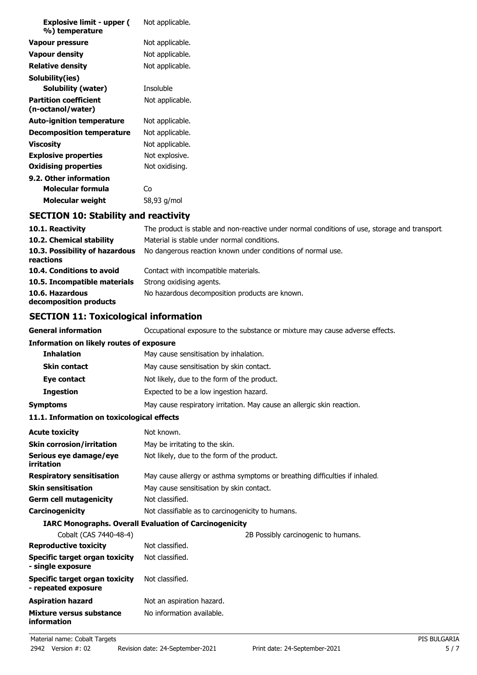| <b>Explosive limit - upper (</b><br>%) temperature | Not applicable. |
|----------------------------------------------------|-----------------|
| Vapour pressure                                    | Not applicable. |
| <b>Vapour density</b>                              | Not applicable. |
| <b>Relative density</b>                            | Not applicable. |
| Solubility(ies)                                    |                 |
| <b>Solubility (water)</b>                          | Insoluble       |
| <b>Partition coefficient</b><br>(n-octanol/water)  | Not applicable. |
| <b>Auto-ignition temperature</b>                   | Not applicable. |
| <b>Decomposition temperature</b>                   | Not applicable. |
| <b>Viscosity</b>                                   | Not applicable. |
| <b>Explosive properties</b>                        | Not explosive.  |
| <b>Oxidising properties</b>                        | Not oxidising.  |
| 9.2. Other information                             |                 |
| Molecular formula                                  | Co              |
| Molecular weight                                   | 58,93 g/mol     |
| <b>SECTION 10: Stability and reactivity</b>        |                 |

| 10.1. Reactivity                            | The product is stable and non-reactive under normal conditions of use, storage and transport |
|---------------------------------------------|----------------------------------------------------------------------------------------------|
| 10.2. Chemical stability                    | Material is stable under normal conditions.                                                  |
| 10.3. Possibility of hazardous<br>reactions | No dangerous reaction known under conditions of normal use.                                  |
| 10.4. Conditions to avoid                   | Contact with incompatible materials.                                                         |
| 10.5. Incompatible materials                | Strong oxidising agents.                                                                     |
| 10.6. Hazardous<br>decomposition products   | No hazardous decomposition products are known.                                               |

# **SECTION 11: Toxicological information**

| <b>General information</b>                            | Occupational exposure to the substance or mixture may cause adverse effects. |
|-------------------------------------------------------|------------------------------------------------------------------------------|
| <b>Information on likely routes of exposure</b>       |                                                                              |
| <b>Inhalation</b>                                     | May cause sensitisation by inhalation.                                       |
| <b>Skin contact</b>                                   | May cause sensitisation by skin contact.                                     |
| Eye contact                                           | Not likely, due to the form of the product.                                  |
| <b>Ingestion</b>                                      | Expected to be a low ingestion hazard.                                       |
| Symptoms                                              | May cause respiratory irritation. May cause an allergic skin reaction.       |
| 11.1. Information on toxicological effects            |                                                                              |
| Acute toxicity                                        | Not known.                                                                   |
| <b>Skin corrosion/irritation</b>                      | May be irritating to the skin.                                               |
| Serious eye damage/eye<br>irritation                  | Not likely, due to the form of the product.                                  |
| <b>Respiratory sensitisation</b>                      | May cause allergy or asthma symptoms or breathing difficulties if inhaled.   |
| Skin sensitisation                                    | May cause sensitisation by skin contact.                                     |
| Germ cell mutagenicity                                | Not classified.                                                              |
| Carcinogenicity                                       | Not classifiable as to carcinogenicity to humans.                            |
|                                                       | <b>IARC Monographs. Overall Evaluation of Carcinogenicity</b>                |
| Cobalt (CAS 7440-48-4)                                | 2B Possibly carcinogenic to humans.                                          |
| <b>Reproductive toxicity</b>                          | Not classified.                                                              |
| Specific target organ toxicity<br>- single exposure   | Not classified.                                                              |
| Specific target organ toxicity<br>- repeated exposure | Not classified.                                                              |
| Aspiration hazard                                     | Not an aspiration hazard.                                                    |
| Mixture versus substance<br>information               | No information available.                                                    |
|                                                       |                                                                              |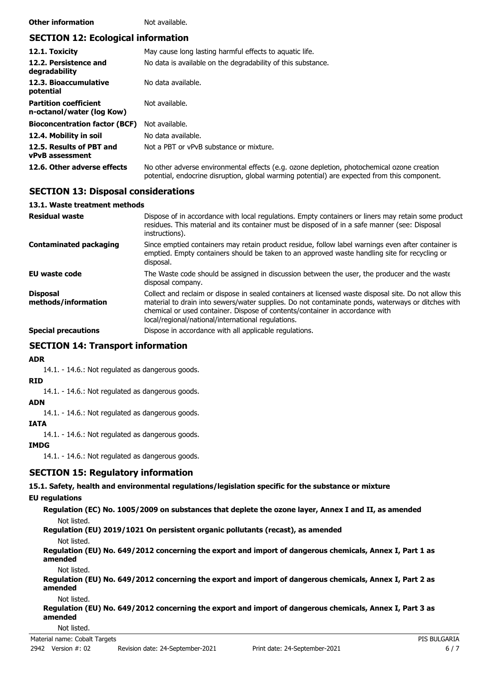#### **Other information** Not available.

# **SECTION 12: Ecological information**

| 12.1. Toxicity                                            | May cause long lasting harmful effects to aquatic life.                                                                                                                                    |
|-----------------------------------------------------------|--------------------------------------------------------------------------------------------------------------------------------------------------------------------------------------------|
| 12.2. Persistence and<br>degradability                    | No data is available on the degradability of this substance.                                                                                                                               |
| 12.3. Bioaccumulative<br>potential                        | No data available.                                                                                                                                                                         |
| <b>Partition coefficient</b><br>n-octanol/water (log Kow) | Not available.                                                                                                                                                                             |
| <b>Bioconcentration factor (BCF)</b>                      | Not available.                                                                                                                                                                             |
| 12.4. Mobility in soil                                    | No data available.                                                                                                                                                                         |
| 12.5. Results of PBT and<br><b>vPvB</b> assessment        | Not a PBT or vPvB substance or mixture.                                                                                                                                                    |
| 12.6. Other adverse effects                               | No other adverse environmental effects (e.g. ozone depletion, photochemical ozone creation<br>potential, endocrine disruption, global warming potential) are expected from this component. |

# **SECTION 13: Disposal considerations**

#### **13.1. Waste treatment methods**

| <b>Residual waste</b>                  | Dispose of in accordance with local regulations. Empty containers or liners may retain some product<br>residues. This material and its container must be disposed of in a safe manner (see: Disposal<br>instructions).                                                                                                                            |
|----------------------------------------|---------------------------------------------------------------------------------------------------------------------------------------------------------------------------------------------------------------------------------------------------------------------------------------------------------------------------------------------------|
| <b>Contaminated packaging</b>          | Since emptied containers may retain product residue, follow label warnings even after container is<br>emptied. Empty containers should be taken to an approved waste handling site for recycling or<br>disposal.                                                                                                                                  |
| EU waste code                          | The Waste code should be assigned in discussion between the user, the producer and the waste<br>disposal company.                                                                                                                                                                                                                                 |
| <b>Disposal</b><br>methods/information | Collect and reclaim or dispose in sealed containers at licensed waste disposal site. Do not allow this<br>material to drain into sewers/water supplies. Do not contaminate ponds, waterways or ditches with<br>chemical or used container. Dispose of contents/container in accordance with<br>local/regional/national/international regulations. |
| <b>Special precautions</b>             | Dispose in accordance with all applicable regulations.                                                                                                                                                                                                                                                                                            |

# **SECTION 14: Transport information**

#### **ADR**

14.1. - 14.6.: Not regulated as dangerous goods.

#### **RID**

14.1. - 14.6.: Not regulated as dangerous goods.

#### **ADN**

14.1. - 14.6.: Not regulated as dangerous goods.

#### **IATA**

14.1. - 14.6.: Not regulated as dangerous goods.

#### **IMDG**

14.1. - 14.6.: Not regulated as dangerous goods.

## **SECTION 15: Regulatory information**

**15.1. Safety, health and environmental regulations/legislation specific for the substance or mixture**

#### **EU regulations**

**Regulation (EC) No. 1005/2009 on substances that deplete the ozone layer, Annex I and II, as amended** Not listed.

**Regulation (EU) 2019/1021 On persistent organic pollutants (recast), as amended**

Not listed.

**Regulation (EU) No. 649/2012 concerning the export and import of dangerous chemicals, Annex I, Part 1 as amended**

Not listed.

**Regulation (EU) No. 649/2012 concerning the export and import of dangerous chemicals, Annex I, Part 2 as amended**

Not listed.

**Regulation (EU) No. 649/2012 concerning the export and import of dangerous chemicals, Annex I, Part 3 as amended**

Not listed.